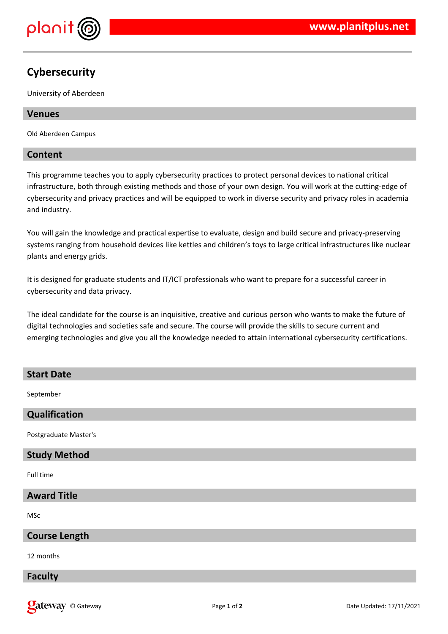

# **Cybersecurity**

University of Aberdeen

# **Venues**

Old Aberdeen Campus

# **Content**

This programme teaches you to apply cybersecurity practices to protect personal devices to national critical infrastructure, both through existing methods and those of your own design. You will work at the cutting-edge of cybersecurity and privacy practices and will be equipped to work in diverse security and privacy roles in academia and industry.

You will gain the knowledge and practical expertise to evaluate, design and build secure and privacy-preserving systems ranging from household devices like kettles and children's toys to large critical infrastructures like nuclear plants and energy grids.

It is designed for graduate students and IT/ICT professionals who want to prepare for a successful career in cybersecurity and data privacy.

The ideal candidate for the course is an inquisitive, creative and curious person who wants to make the future of digital technologies and societies safe and secure. The course will provide the skills to secure current and emerging technologies and give you all the knowledge needed to attain international cybersecurity certifications.

# **Start Date** September **Qualification** Postgraduate Master's **Study Method**

Full time

# **Award Title**

MSc

## **Course Length**

12 months

## **Faculty**